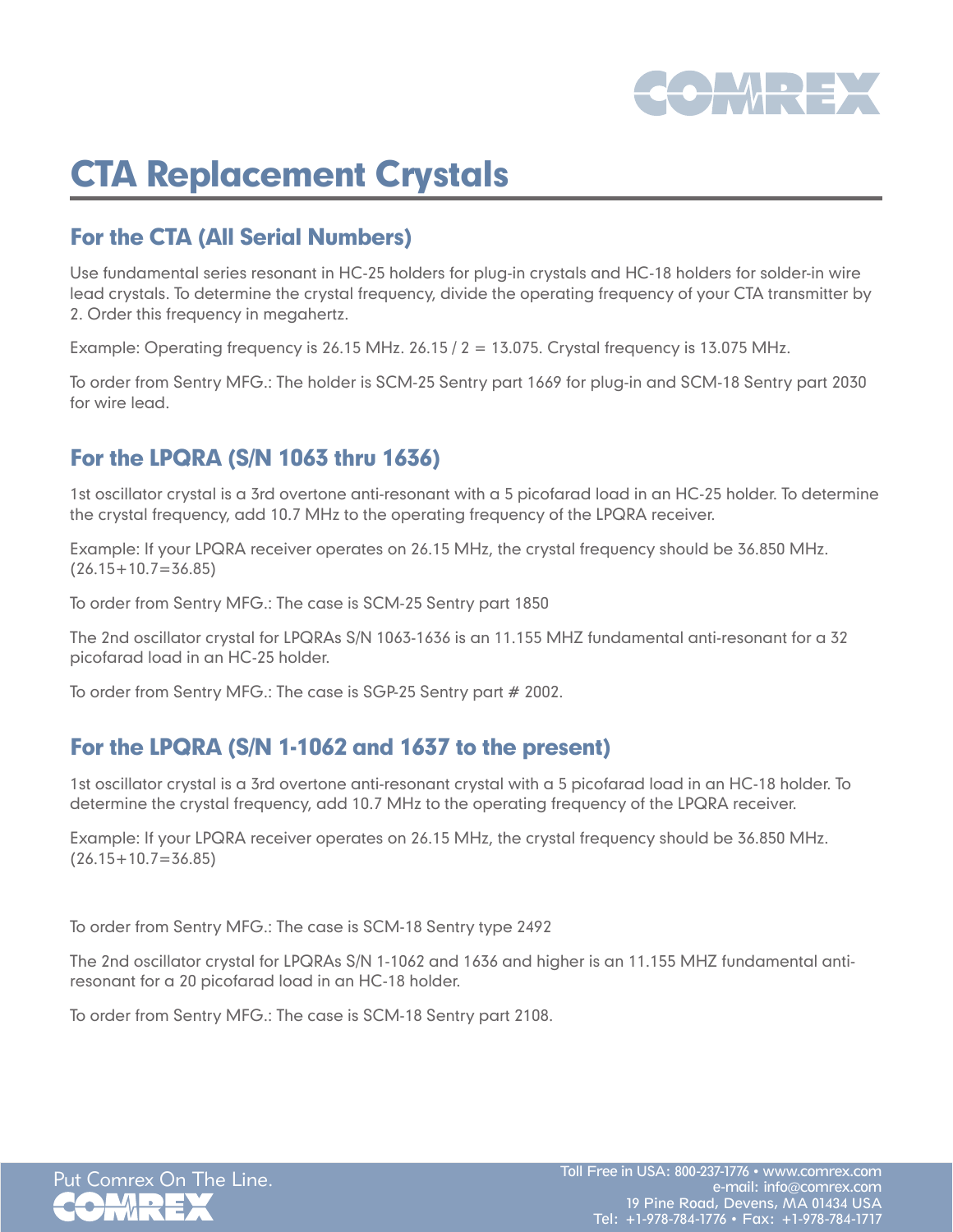

# CTA Replacement Crystals

## For the CTA (All Serial Numbers)

Use fundamental series resonant in HC-25 holders for plug-in crystals and HC-18 holders for solder-in wire lead crystals. To determine the crystal frequency, divide the operating frequency of your CTA transmitter by 2. Order this frequency in megahertz.

Example: Operating frequency is 26.15 MHz. 26.15 /  $2 = 13.075$ . Crystal frequency is 13.075 MHz.

To order from Sentry MFG.: The holder is SCM-25 Sentry part 1669 for plug-in and SCM-18 Sentry part 2030 for wire lead.

## For the LPQRA (S/N 1063 thru 1636)

1st oscillator crystal is a 3rd overtone anti-resonant with a 5 picofarad load in an HC-25 holder. To determine the crystal frequency, add 10.7 MHz to the operating frequency of the LPQRA receiver.

Example: If your LPQRA receiver operates on 26.15 MHz, the crystal frequency should be 36.850 MHz. (26.15+10.7=36.85)

To order from Sentry MFG.: The case is SCM-25 Sentry part 1850

The 2nd oscillator crystal for LPQRAs S/N 1063-1636 is an 11.155 MHZ fundamental anti-resonant for a 32 picofarad load in an HC-25 holder.

To order from Sentry MFG.: The case is SGP-25 Sentry part # 2002.

## For the LPQRA (S/N 1-1062 and 1637 to the present)

1st oscillator crystal is a 3rd overtone anti-resonant crystal with a 5 picofarad load in an HC-18 holder. To determine the crystal frequency, add 10.7 MHz to the operating frequency of the LPQRA receiver.

Example: If your LPQRA receiver operates on 26.15 MHz, the crystal frequency should be 36.850 MHz. (26.15+10.7=36.85)

To order from Sentry MFG.: The case is SCM-18 Sentry type 2492

The 2nd oscillator crystal for LPQRAs S/N 1-1062 and 1636 and higher is an 11.155 MHZ fundamental antiresonant for a 20 picofarad load in an HC-18 holder.

To order from Sentry MFG.: The case is SCM-18 Sentry part 2108.

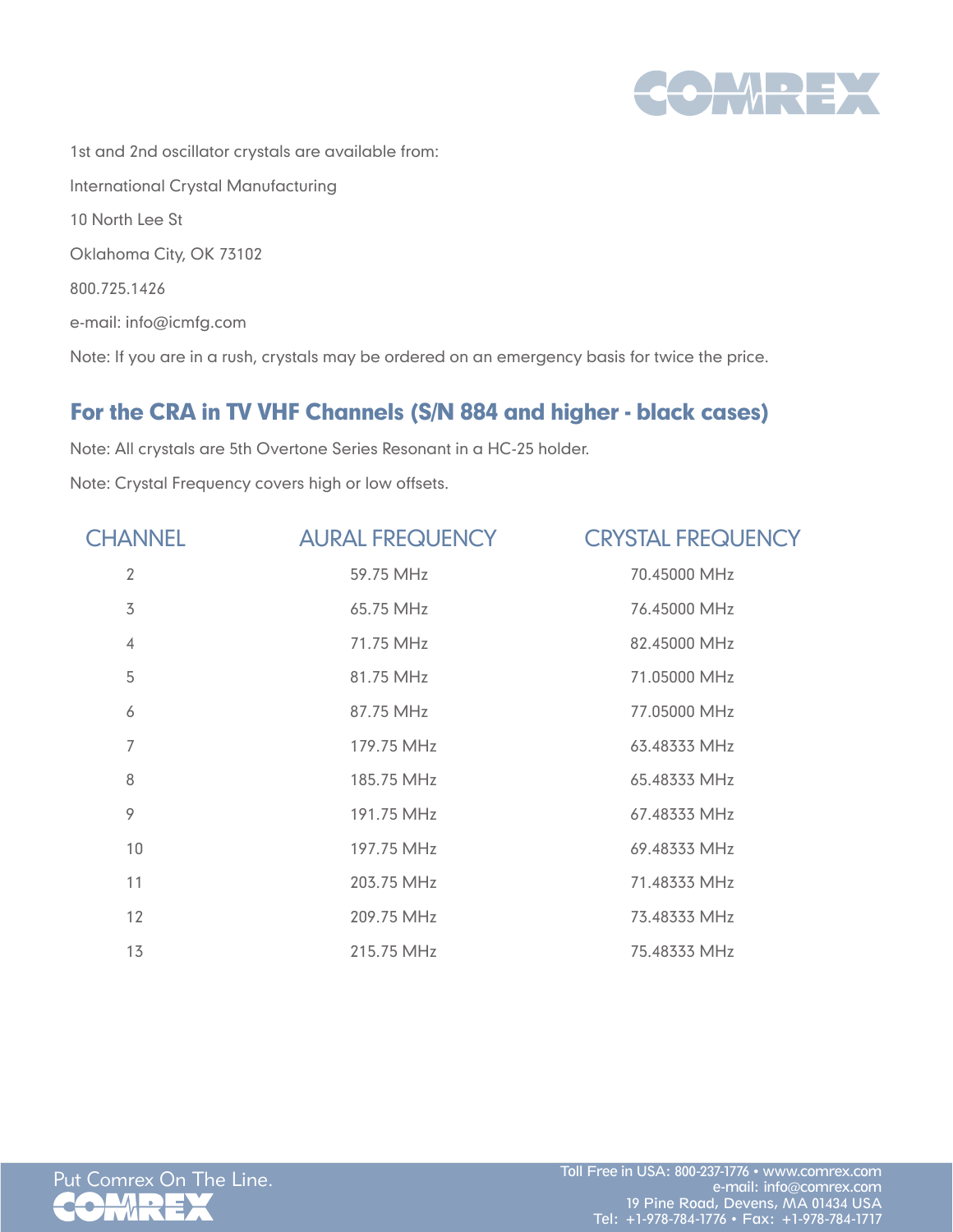

1st and 2nd oscillator crystals are available from: International Crystal Manufacturing 10 North Lee St Oklahoma City, OK 73102 800.725.1426 e-mail: info@icmfg.com

Note: If you are in a rush, crystals may be ordered on an emergency basis for twice the price.

#### For the CRA in TV VHF Channels (S/N 884 and higher - black cases)

Note: All crystals are 5th Overtone Series Resonant in a HC-25 holder.

Note: Crystal Frequency covers high or low offsets.

| <b>CHANNEL</b> | <b>AURAL FREQUENCY</b> | <b>CRYSTAL FREQUENCY</b> |
|----------------|------------------------|--------------------------|
| $\overline{2}$ | 59.75 MHz              | 70.45000 MHz             |
| $\overline{3}$ | 65.75 MHz              | 76.45000 MHz             |
| $\overline{4}$ | 71.75 MHz              | 82.45000 MHz             |
| 5              | 81.75 MHz              | 71.05000 MHz             |
| 6              | 87.75 MHz              | 77.05000 MHz             |
| 7              | 179.75 MHz             | 63.48333 MHz             |
| 8              | 185.75 MHz             | 65.48333 MHz             |
| 9              | 191.75 MHz             | 67.48333 MHz             |
| 10             | 197.75 MHz             | 69.48333 MHz             |
| 11             | 203.75 MHz             | 71.48333 MHz             |
| 12             | 209.75 MHz             | 73.48333 MHz             |
| 13             | 215.75 MHz             | 75.48333 MHz             |